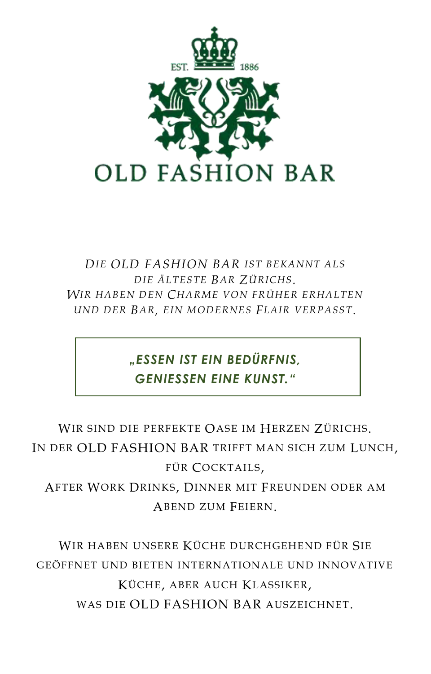

### *DIE OLD FASHION BAR IST BEKANNT ALS DIE ÄLTESTE BAR ZÜRICHS. WIR HABEN DEN CHARME VON FRÜHER ERHALTEN UND DER BAR, EIN MODERNES FLAIR VERPASST.*

## *"ESSEN IST EIN BEDÜRFNIS, GENIESSEN EINE KUNST."*

WIR SIND DIE PERFEKTE OASE IM HERZEN ZÜRICHS. IN DER OLD FASHION BAR TRIFFT MAN SICH ZUM LUNCH, FÜR COCKTAILS, AFTER WORK DRINKS, DINNER MIT FREUNDEN ODER AM ABEND ZUM FEIERN.

WIR HABEN UNSERE KÜCHE DURCHGEHEND FÜR SIE GEÖFFNET UND BIETEN INTERNATIONALE UND INNOVATIVE KÜCHE, ABER AUCH KLASSIKER, WAS DIE OLD FASHION BAR AUSZEICHNET.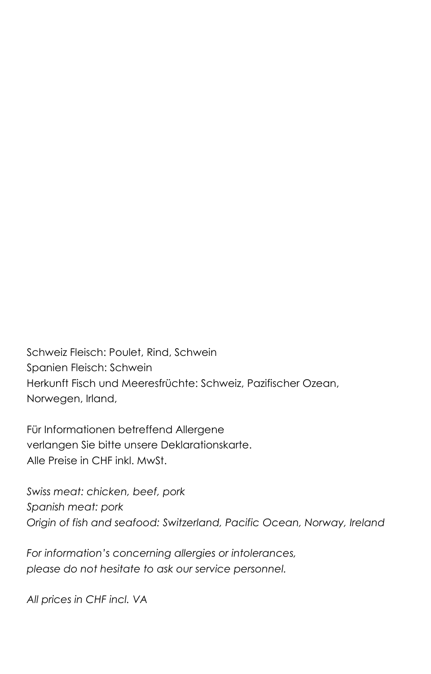Schweiz Fleisch: Poulet, Rind, Schwein Spanien Fleisch: Schwein Herkunft Fisch und Meeresfrüchte: Schweiz, Pazifischer Ozean, Norwegen, Irland,

Für Informationen betreffend Allergene verlangen Sie bitte unsere Deklarationskarte. Alle Preise in CHF inkl. MwSt.

*Swiss meat: chicken, beef, pork Spanish meat: pork Origin of fish and seafood: Switzerland, Pacific Ocean, Norway, Ireland*

*For information's concerning allergies or intolerances, please do not hesitate to ask our service personnel.*

*All prices in CHF incl. VA*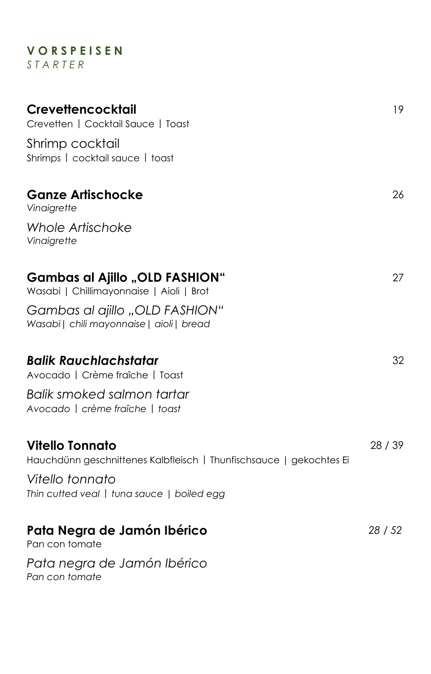#### **V O R S P E I S E N** *S T A R T E R*

# **Crevettencocktail**19 Crevetten | Cocktail Sauce | Toast Shrimp cocktail Shrimps | cocktail sauce | toast **Ganze Artischocke** 26 *Vinaigrette Whole Artischoke Vinaigrette* **Gambas al Ajillo "OLD FASHION"** 27 Wasabi | Chillimayonnaise | Aioli | Brot *Gambas al ajillo "OLD FASHION" Wasabi| chili mayonnaise| aioli| bread Balik Rauchlachstatar* 32 Avocado | Crème fraîche | Toast *Balik smoked salmon tartar Avocado | crème fraîche | toast* **Vitello Tonnato** 28 / 39 Hauchdünn geschnittenes Kalbfleisch | Thunfischsauce | gekochtes Ei *Vitello tonnato Thin cutted veal | tuna sauce | boiled egg* **Pata Negra de Jamón Ibérico** *28 / 52* Pan con tomate *Pata negra de Jamón Ibérico*

*Pan con tomate*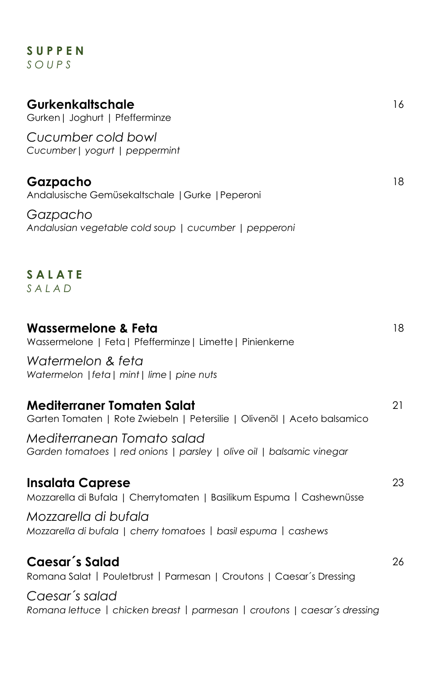#### **S U P P E N** *S O U P S*

| <b>Gurkenkaltschale</b><br>Gurken   Joghurt   Pfefferminze                                                    | 16 |
|---------------------------------------------------------------------------------------------------------------|----|
| Cucumber cold bowl<br>Cucumber   yogurt   peppermint                                                          |    |
| Gazpacho<br>Andalusische Gemüsekaltschale   Gurke   Peperoni                                                  | 18 |
| Gazpacho<br>Andalusian vegetable cold soup   cucumber   pepperoni                                             |    |
| <b>SALATE</b><br>SALAD                                                                                        |    |
| Wassermelone & Feta<br>Wassermelone   Feta   Pfefferminze   Limette   Pinienkerne                             | 18 |
| Watermelon & feta<br>Watermelon   feta   mint   lime   pine nuts                                              |    |
| <b>Mediterraner Tomaten Salat</b><br>Garten Tomaten   Rote Zwiebeln   Petersilie   Olivenöl   Aceto balsamico | 21 |
| Mediterranean Tomato salad<br>Garden tomatoes   red onions   parsley   olive oil   balsamic vinegar           |    |
| <b>Insalata Caprese</b><br>Mozzarella di Bufala   Cherrytomaten   Basilikum Espuma   Cashewnüsse              | 23 |
| Mozzarella di bufala<br>Mozzarella di bufala   cherry tomatoes   basil espuma   cashews                       |    |
| Caesar's Salad<br>Romana Salat   Pouletbrust   Parmesan   Croutons   Caesar's Dressing                        | 26 |
| Caesar's salad<br>Romana lettuce   chicken breast   parmesan   croutons   caesar's dressing                   |    |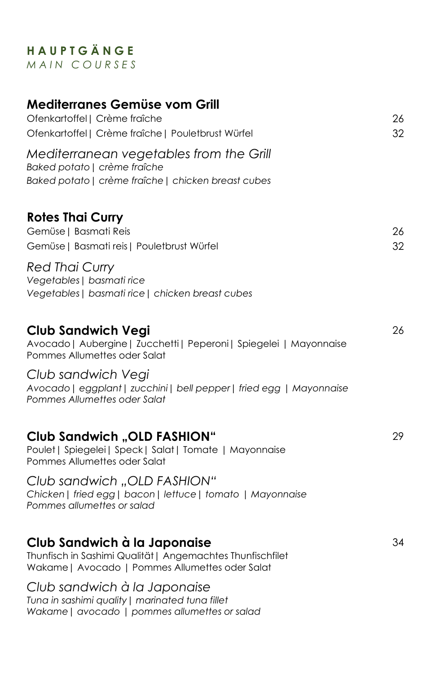#### **H A U P T G Ä N G E** *M A I N C O U R S E S*

## **Mediterranes Gemüse vom Grill** Ofenkartoffel| Crème fraîche 26 Ofenkartoffel| Crème fraîche| Pouletbrust Würfel 32 *Mediterranean vegetables from the Grill Baked potato| crème fraîche Baked potato| crème fraîche| chicken breast cubes* **Rotes Thai Curry** Gemüse| Basmati Reis 26 Gemüse| Basmati reis| Pouletbrust Würfel 32 *Red Thai Curry Vegetables| basmati rice Vegetables| basmati rice| chicken breast cubes* **Club Sandwich Vegi** 26 Avocado| Aubergine| Zucchetti| Peperoni| Spiegelei | Mayonnaise Pommes Allumettes oder Salat *Club sandwich Vegi Avocado| eggplant| zucchini| bell pepper| fried egg | Mayonnaise Pommes Allumettes oder Salat* **Club Sandwich "OLD FASHION"** 29 Poulet| Spiegelei| Speck| Salat| Tomate | Mayonnaise Pommes Allumettes oder Salat *Club sandwich "OLD FASHION" Chicken| fried egg| bacon| lettuce| tomato | Mayonnaise Pommes allumettes or salad* **Club Sandwich à la Japonaise** 34

Thunfisch in Sashimi Qualität| Angemachtes Thunfischfilet Wakame| Avocado | Pommes Allumettes oder Salat

*Club sandwich à la Japonaise* 

*Tuna in sashimi quality| marinated tuna fillet Wakame| avocado | pommes allumettes or salad*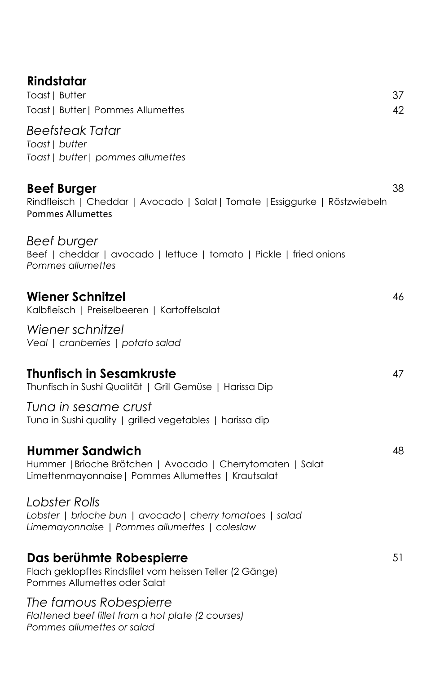| Rindstatar<br>Toast   Butter<br>Toast   Butter   Pommes Allumettes                                                                           | 37<br>42 |
|----------------------------------------------------------------------------------------------------------------------------------------------|----------|
| <b>Beefsteak Tatar</b><br>Toast   butter<br>Toast   butter   pommes allumettes                                                               |          |
| <b>Beef Burger</b><br>Rindfleisch   Cheddar   Avocado   Salat   Tomate   Essiggurke   Röstzwiebeln<br><b>Pommes Allumettes</b>               | 38       |
| <b>Beef burger</b><br>Beef   cheddar   avocado   lettuce   tomato   Pickle   fried onions<br>Pommes allumettes                               |          |
| <b>Wiener Schnitzel</b><br>Kalbfleisch   Preiselbeeren   Kartoffelsalat                                                                      | 46       |
| Wiener schnitzel<br>Veal   cranberries   potato salad                                                                                        |          |
| <b>Thunfisch in Sesamkruste</b><br>Thunfisch in Sushi Qualität   Grill Gemüse   Harissa Dip                                                  | 47       |
| Tuna in sesame crust<br>Tuna in Sushi quality   grilled vegetables   harissa dip                                                             |          |
| <b>Hummer Sandwich</b><br>Hummer   Brioche Brötchen   Avocado   Cherrytomaten   Salat<br>Limettenmayonnaise   Pommes Allumettes   Krautsalat | 48       |
| Lobster Rolls<br>Lobster   brioche bun   avocado   cherry tomatoes   salad<br>Limemayonnaise   Pommes allumettes   coleslaw                  |          |
| Das berühmte Robespierre<br>Flach geklopftes Rindsfilet vom heissen Teller (2 Gänge)<br>Pommes Allumettes oder Salat                         | 51       |
| The famous Robespierre<br>Flattened beef fillet from a hot plate (2 courses)<br>Pommes allumettes or salad                                   |          |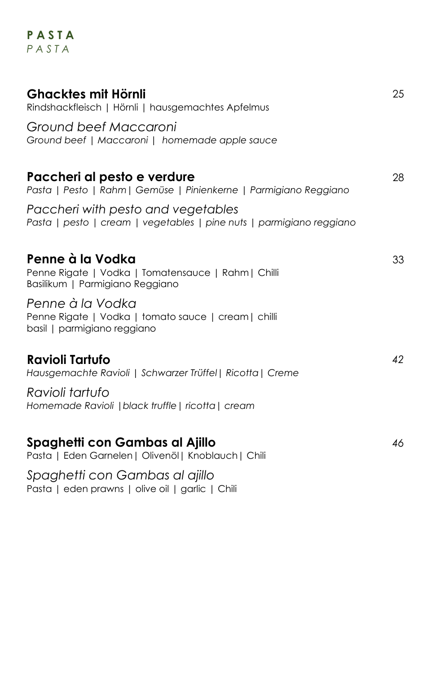#### **P A S T A** *P A S T A*

| <b>Ghacktes mit Hörnli</b><br>Rindshackfleisch   Hörnli   hausgemachtes Apfelmus                           | 25 |
|------------------------------------------------------------------------------------------------------------|----|
| Ground beef Maccaroni<br>Ground beef   Maccaroni   homemade apple sauce                                    |    |
| Paccheri al pesto e verdure<br>Pasta   Pesto   Rahm   Gemüse   Pinienkerne   Parmigiano Reggiano           | 28 |
| Paccheri with pesto and vegetables<br>Pasta   pesto   cream   vegetables   pine nuts   parmigiano reggiano |    |
| Penne à la Vodka<br>Penne Rigate   Vodka   Tomatensauce   Rahm   Chilli<br>Basilikum   Parmigiano Reggiano | 33 |
| Penne à la Vodka<br>Penne Rigate   Vodka   tomato sauce   cream   chilli<br>basil   parmigiano reggiano    |    |
| Ravioli Tartufo<br>Hausgemachte Ravioli   Schwarzer Trüffel   Ricotta   Creme                              | 42 |
| Ravioli tartufo<br>Homemade Ravioli   black truffle   ricotta   cream                                      |    |
| Spaghetti con Gambas al Ajillo<br>Pasta   Eden Garnelen   Olivenöl   Knoblauch   Chili                     | 46 |
| Spaghetti con Gambas al ajillo<br>Pasta   eden prawns   olive oil   garlic   Chili                         |    |